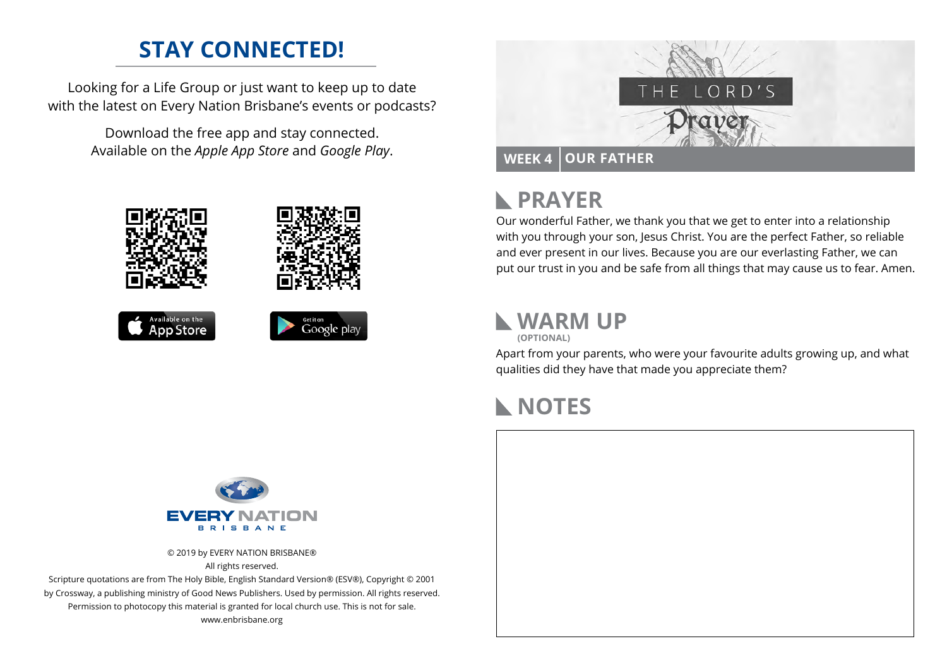### **STAY CONNECTED!**

Looking for a Life Group or just want to keep up to date with the latest on Every Nation Brisbane's events or podcasts?

> Download the free app and stay connected. Available on the *Apple App Store* and *Google Play*.





## **PRAYER**

Our wonderful Father, we thank you that we get to enter into a relationship with you through your son, Jesus Christ. You are the perfect Father, so reliable and ever present in our lives. Because you are our everlasting Father, we can put our trust in you and be safe from all things that may cause us to fear. Amen.

# **WARM UP**

**(OPTIONAL)**

Apart from your parents, who were your favourite adults growing up, and what qualities did they have that made you appreciate them?

#### **NOTES**



© 2019 by EVERY NATION BRISBANE® All rights reserved.

Scripture quotations are from The Holy Bible, English Standard Version® (ESV®), Copyright © 2001 by Crossway, a publishing ministry of Good News Publishers. Used by permission. All rights reserved. Permission to photocopy this material is granted for local church use. This is not for sale. www.enbrisbane.org